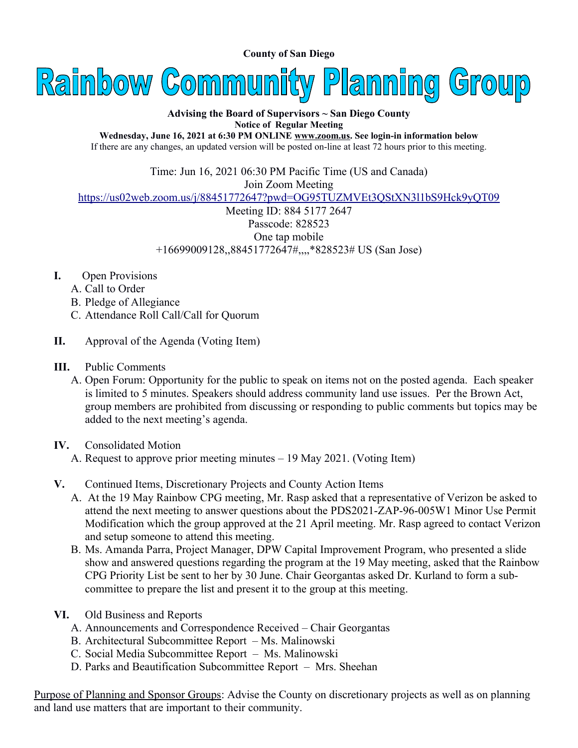**County of San Diego** 



**Advising the Board of Supervisors ~ San Diego County Notice of Regular Meeting**

**Wednesday, June 16, 2021 at 6:30 PM ONLINE [www.zoom.us](http://www.zoom.us/). See login-in information below** If there are any changes, an updated version will be posted on-line at least 72 hours prior to this meeting.

Time: Jun 16, 2021 06:30 PM Pacific Time (US and Canada)

Join Zoom Meeting

<https://us02web.zoom.us/j/88451772647?pwd=OG95TUZMVEt3QStXN3l1bS9Hck9yQT09>

Meeting ID: 884 5177 2647 Passcode: 828523 One tap mobile +16699009128,,88451772647#,,,,\*828523# US (San Jose)

- **I.** Open Provisions
	- A. Call to Order
	- B. Pledge of Allegiance
	- C. Attendance Roll Call/Call for Quorum
- **II.** Approval of the Agenda (Voting Item)
- **III.** Public Comments
	- A. Open Forum: Opportunity for the public to speak on items not on the posted agenda. Each speaker is limited to 5 minutes. Speakers should address community land use issues. Per the Brown Act, group members are prohibited from discussing or responding to public comments but topics may be added to the next meeting's agenda.
- **IV.** Consolidated Motion
	- A. Request to approve prior meeting minutes 19 May 2021. (Voting Item)
- **V.** Continued Items, Discretionary Projects and County Action Items
	- A. At the 19 May Rainbow CPG meeting, Mr. Rasp asked that a representative of Verizon be asked to attend the next meeting to answer questions about the PDS2021-ZAP-96-005W1 Minor Use Permit Modification which the group approved at the 21 April meeting. Mr. Rasp agreed to contact Verizon and setup someone to attend this meeting.
	- B. Ms. Amanda Parra, Project Manager, DPW Capital Improvement Program, who presented a slide show and answered questions regarding the program at the 19 May meeting, asked that the Rainbow CPG Priority List be sent to her by 30 June. Chair Georgantas asked Dr. Kurland to form a subcommittee to prepare the list and present it to the group at this meeting.
- **VI.** Old Business and Reports
	- A. Announcements and Correspondence Received Chair Georgantas
	- B. Architectural Subcommittee Report Ms. Malinowski
	- C. Social Media Subcommittee Report Ms. Malinowski
	- D. Parks and Beautification Subcommittee Report Mrs. Sheehan

Purpose of Planning and Sponsor Groups: Advise the County on discretionary projects as well as on planning and land use matters that are important to their community.